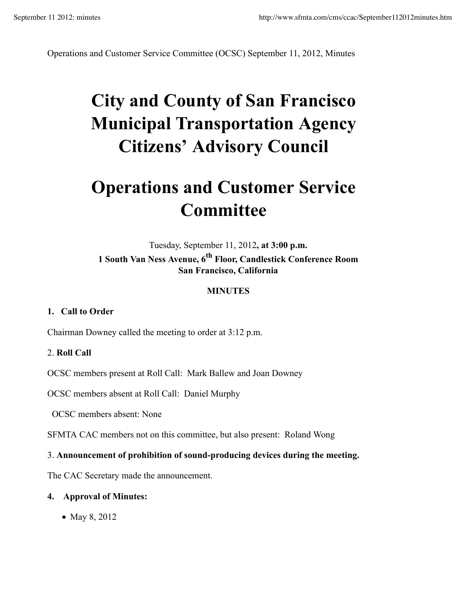Operations and Customer Service Committee (OCSC) September 11, 2012, Minutes

# **City and County of San Francisco Municipal Transportation Agency Citizens' Advisory Council**

## **Operations and Customer Service Committee**

Tuesday, September 11, 2012**, at 3:00 p.m. 1 South Van Ness Avenue, 6th Floor, Candlestick Conference Room San Francisco, California**

## **MINUTES**

#### **1. Call to Order**

Chairman Downey called the meeting to order at 3:12 p.m.

#### 2. **Roll Call**

OCSC members present at Roll Call: Mark Ballew and Joan Downey

OCSC members absent at Roll Call: Daniel Murphy

OCSC members absent: None

SFMTA CAC members not on this committee, but also present: Roland Wong

#### 3. **Announcement of prohibition of sound-producing devices during the meeting.**

The CAC Secretary made the announcement.

#### **4. Approval of Minutes:**

• May 8, 2012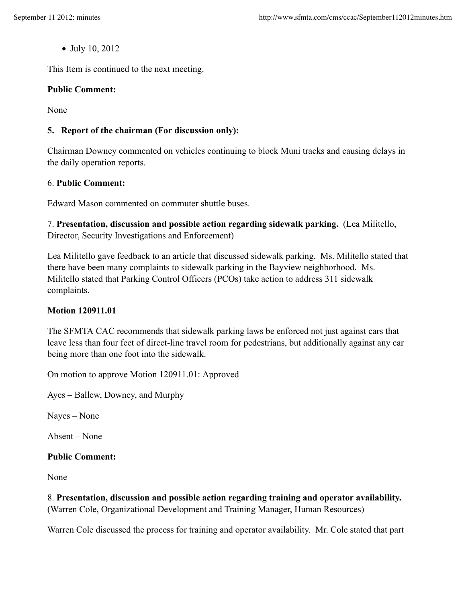• July 10, 2012

This Item is continued to the next meeting.

#### **Public Comment:**

None

## **5. Report of the chairman (For discussion only):**

Chairman Downey commented on vehicles continuing to block Muni tracks and causing delays in the daily operation reports.

#### 6. **Public Comment:**

Edward Mason commented on commuter shuttle buses.

7. **Presentation, discussion and possible action regarding sidewalk parking.** (Lea Militello, Director, Security Investigations and Enforcement)

Lea Militello gave feedback to an article that discussed sidewalk parking. Ms. Militello stated that there have been many complaints to sidewalk parking in the Bayview neighborhood. Ms. Militello stated that Parking Control Officers (PCOs) take action to address 311 sidewalk complaints.

#### **Motion 120911.01**

The SFMTA CAC recommends that sidewalk parking laws be enforced not just against cars that leave less than four feet of direct-line travel room for pedestrians, but additionally against any car being more than one foot into the sidewalk.

On motion to approve Motion 120911.01: Approved

Ayes – Ballew, Downey, and Murphy

Nayes – None

Absent – None

#### **Public Comment:**

None

8. **Presentation, discussion and possible action regarding training and operator availability.** (Warren Cole, Organizational Development and Training Manager, Human Resources)

Warren Cole discussed the process for training and operator availability. Mr. Cole stated that part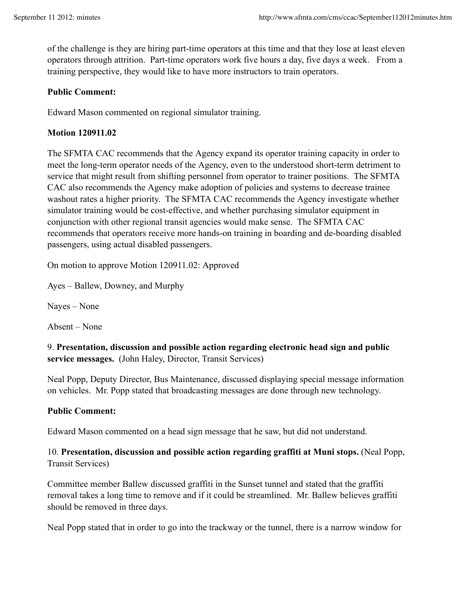of the challenge is they are hiring part-time operators at this time and that they lose at least eleven operators through attrition. Part-time operators work five hours a day, five days a week. From a training perspective, they would like to have more instructors to train operators.

#### **Public Comment:**

Edward Mason commented on regional simulator training.

## **Motion 120911.02**

The SFMTA CAC recommends that the Agency expand its operator training capacity in order to meet the long-term operator needs of the Agency, even to the understood short-term detriment to service that might result from shifting personnel from operator to trainer positions. The SFMTA CAC also recommends the Agency make adoption of policies and systems to decrease trainee washout rates a higher priority. The SFMTA CAC recommends the Agency investigate whether simulator training would be cost-effective, and whether purchasing simulator equipment in conjunction with other regional transit agencies would make sense. The SFMTA CAC recommends that operators receive more hands-on training in boarding and de-boarding disabled passengers, using actual disabled passengers.

On motion to approve Motion 120911.02: Approved

Ayes – Ballew, Downey, and Murphy

Nayes – None

Absent – None

9. **Presentation, discussion and possible action regarding electronic head sign and public service messages.** (John Haley, Director, Transit Services)

Neal Popp, Deputy Director, Bus Maintenance, discussed displaying special message information on vehicles. Mr. Popp stated that broadcasting messages are done through new technology.

#### **Public Comment:**

Edward Mason commented on a head sign message that he saw, but did not understand.

## 10. **Presentation, discussion and possible action regarding graffiti at Muni stops.** (Neal Popp, Transit Services)

Committee member Ballew discussed graffiti in the Sunset tunnel and stated that the graffiti removal takes a long time to remove and if it could be streamlined. Mr. Ballew believes graffiti should be removed in three days.

Neal Popp stated that in order to go into the trackway or the tunnel, there is a narrow window for